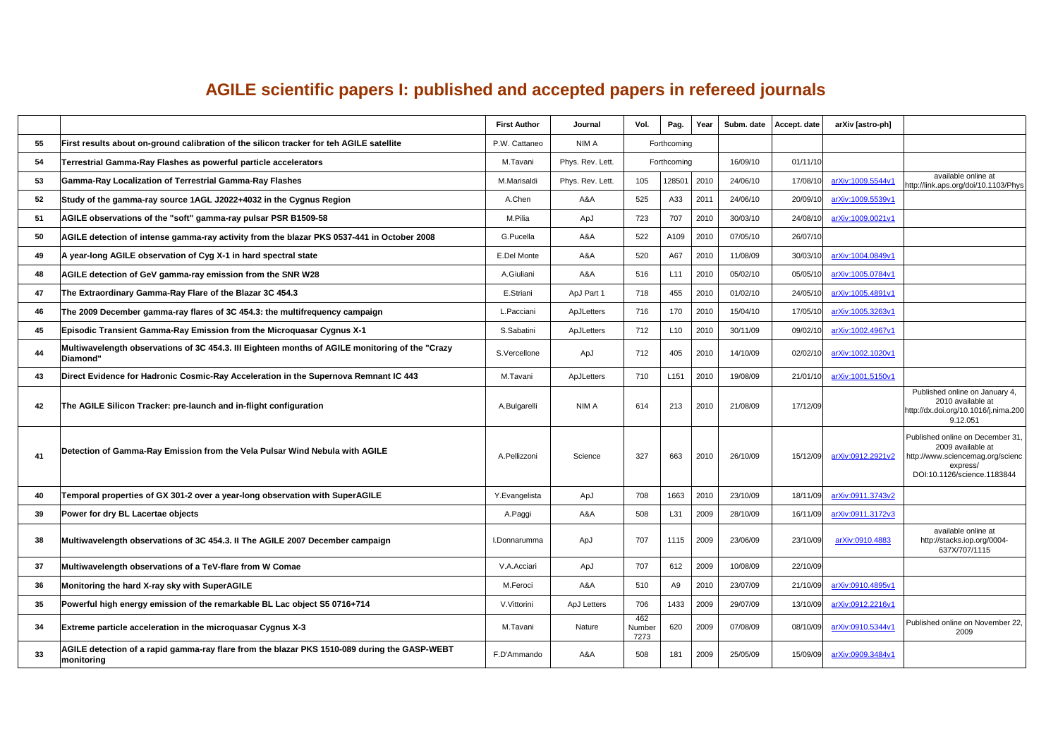## **AGILE scientific papers I: published and accepted papers in refereed journals**

|    |                                                                                                              | <b>First Author</b> | <b>Journal</b>     | Vol.                         | Pag.             | Year |          | Subm. date   Accept. date | arXiv [astro-ph]           |                                                                                                                                      |
|----|--------------------------------------------------------------------------------------------------------------|---------------------|--------------------|------------------------------|------------------|------|----------|---------------------------|----------------------------|--------------------------------------------------------------------------------------------------------------------------------------|
| 55 | First results about on-ground calibration of the silicon tracker for teh AGILE satellite                     | P.W. Cattaneo       | <b>NIMA</b>        |                              | Forthcoming      |      |          |                           |                            |                                                                                                                                      |
| 54 | Terrestrial Gamma-Ray Flashes as powerful particle accelerators                                              | M.Tavani            | Phys. Rev. Lett.   |                              | Forthcoming      |      | 16/09/10 | 01/11/10                  |                            |                                                                                                                                      |
| 53 | <b>Gamma-Ray Localization of Terrestrial Gamma-Ray Flashes</b>                                               | M.Marisaldi         | Phys. Rev. Lett.   | 105                          | 128501 2010      |      | 24/06/10 | 17/08/10                  | <u>arXiv:1009.5544v1</u>   | available online at<br>http://link.aps.org/doi/10.1103/Phys                                                                          |
| 52 | Study of the gamma-ray source 1AGL J2022+4032 in the Cygnus Region                                           | A.Chen              | A&A                | 525                          | A33              | 2011 | 24/06/10 | 20/09/10                  | <u>arXiv:1009.5539v1</u>   |                                                                                                                                      |
| 51 | AGILE observations of the "soft" gamma-ray pulsar PSR B1509-58                                               | M.Pilia             | ApJ                | 723                          | 707              | 2010 | 30/03/10 |                           | 24/08/10 arXiv:1009.0021v1 |                                                                                                                                      |
| 50 | AGILE detection of intense gamma-ray activity from the blazar PKS 0537-441 in October 2008                   | <b>G.Pucella</b>    | A&A                | 522                          | A109             | 2010 | 07/05/10 | 26/07/10                  |                            |                                                                                                                                      |
| 49 | A year-long AGILE observation of Cyg X-1 in hard spectral state                                              | <b>E.Del Monte</b>  | A&A                | 520                          | A67              | 2010 | 11/08/09 |                           | 30/03/10 arXiv:1004.0849v1 |                                                                                                                                      |
| 48 | AGILE detection of GeV gamma-ray emission from the SNR W28                                                   | A.Giuliani          | A&A                | 516                          |                  | 2010 | 05/02/10 |                           | 05/05/10 arXiv:1005.0784v1 |                                                                                                                                      |
| 47 | The Extraordinary Gamma-Ray Flare of the Blazar 3C 454.3                                                     | E.Striani           | ApJ Part 1         | 718                          | 455              | 2010 | 01/02/10 | 24/05/10                  | <u>arXiv:1005.4891v1</u>   |                                                                                                                                      |
| 46 | The 2009 December gamma-ray flares of 3C 454.3: the multifrequency campaign                                  | L. Pacciani         | ApJLetters         | 716                          | 170              | 2010 | 15/04/10 | 17/05/10                  | arXiv:1005.3263v1          |                                                                                                                                      |
| 45 | Episodic Transient Gamma-Ray Emission from the Microquasar Cygnus X-1                                        | S.Sabatini          | ApJLetters         | 712                          | L <sub>1</sub> C | 2010 | 30/11/09 | 09/02/10                  | arXiv:1002.4967v1          |                                                                                                                                      |
| 44 | Multiwavelength observations of 3C 454.3. III Eighteen months of AGILE monitoring of the "Crazy<br> Diamond" | S.Vercellone        | ApJ                | 712                          | 405              | 2010 | 14/10/09 | 02/02/10                  | <u>arXiv:1002.1020v1</u>   |                                                                                                                                      |
| 43 | Direct Evidence for Hadronic Cosmic-Ray Acceleration in the Supernova Remnant IC 443                         | M.Tavani            | ApJLetters         | 710                          | L <sub>151</sub> | 2010 | 19/08/09 | 21/01/10                  | <u>arXiv:1001.5150v1</u>   |                                                                                                                                      |
| 42 | The AGILE Silicon Tracker: pre-launch and in-flight configuration                                            | A.Bulgarelli        | <b>NIMA</b>        | 614                          | 213              | 2010 | 21/08/09 | 17/12/09                  |                            | Published online on January 4,<br>2010 available at<br>http://dx.doi.org/10.1016/j.nima.200<br>9.12.051                              |
| 41 | Detection of Gamma-Ray Emission from the Vela Pulsar Wind Nebula with AGILE                                  | A.Pellizzoni        | Science            | 327                          | 663              | 2010 | 26/10/09 | 15/12/09                  | arXiv:0912.2921v2          | Published online on December 31,<br>2009 available at<br>http://www.sciencemag.org/scienc<br>express/<br>DOI:10.1126/science.1183844 |
| 40 | Temporal properties of GX 301-2 over a year-long observation with SuperAGILE                                 | Y.Evangelista       | ApJ                | 708                          | 1663             | 2010 | 23/10/09 | 18/11/09                  | arXiv:0911.3743v2          |                                                                                                                                      |
| 39 | Power for dry BL Lacertae objects                                                                            | A Paggi             | A&A                | 508                          | L31              | 2009 | 28/10/09 | 16/11/09                  | <u>arXiv:0911.3172v3</u>   |                                                                                                                                      |
| 38 | Multiwavelength observations of 3C 454.3. II The AGILE 2007 December campaign                                | I.Donnarumma        | ApJ                | 707                          | 1115             | 2009 | 23/06/09 | 23/10/09                  | arXiv:0910.4883            | available online at<br>http://stacks.iop.org/0004-<br>637X/707/1115                                                                  |
| 37 | Multiwavelength observations of a TeV-flare from W Comae                                                     | <b>V.A.Acciari</b>  | ApJ                | 707                          | 612              | 2009 | 10/08/09 | 22/10/09                  |                            |                                                                                                                                      |
| 36 | Monitoring the hard X-ray sky with SuperAGILE                                                                | M.Feroci            | A&A                | 510                          | A9               | 2010 | 23/07/09 |                           | 21/10/09 arXiv:0910.4895v1 |                                                                                                                                      |
| 35 | Powerful high energy emission of the remarkable BL Lac object S5 0716+714                                    | V Vittorini         | <b>ApJ Letters</b> | 706                          | 1433             | 2009 | 29/07/09 | 13/10/09                  | arXiv:0912.2216v1          |                                                                                                                                      |
| 34 | <b>Extreme particle acceleration in the microquasar Cygnus X-3</b>                                           | M.Tavani            | <b>Nature</b>      | 462<br><b>Number</b><br>7273 | 620              | 2009 | 07/08/09 | 08/10/09                  | arXiv:0910.5344v1          | Published online on November 22,<br>2009                                                                                             |
| 33 | AGILE detection of a rapid gamma-ray flare from the blazar PKS 1510-089 during the GASP-WEBT<br>monitoring   | F.D'Ammando         | A&A                | 508                          | 181              | 2009 | 25/05/09 | 15/09/09                  | <u>arXiv:0909.3484v1</u>   |                                                                                                                                      |

| available online at                                       |
|-----------------------------------------------------------|
| http://link.aps.org/doi/10.1103/Phys                      |
|                                                           |
|                                                           |
|                                                           |
|                                                           |
|                                                           |
|                                                           |
|                                                           |
|                                                           |
|                                                           |
|                                                           |
|                                                           |
| Published online on January 4,                            |
| 2010 available at<br>http://dx.doi.org/10.1016/j.nima.200 |
| 9.12.051                                                  |
| Published online on December 31,                          |
| 2009 available at<br>http://www.sciencemag.org/scienc     |
| express/<br>DOI:10.1126/science.1183844                   |
|                                                           |
|                                                           |
|                                                           |
| available online at<br>http://stacks.iop.org/0004-        |
| 637X/707/1115                                             |
|                                                           |
|                                                           |
|                                                           |
| Published online on November 22,<br>2009                  |
|                                                           |
|                                                           |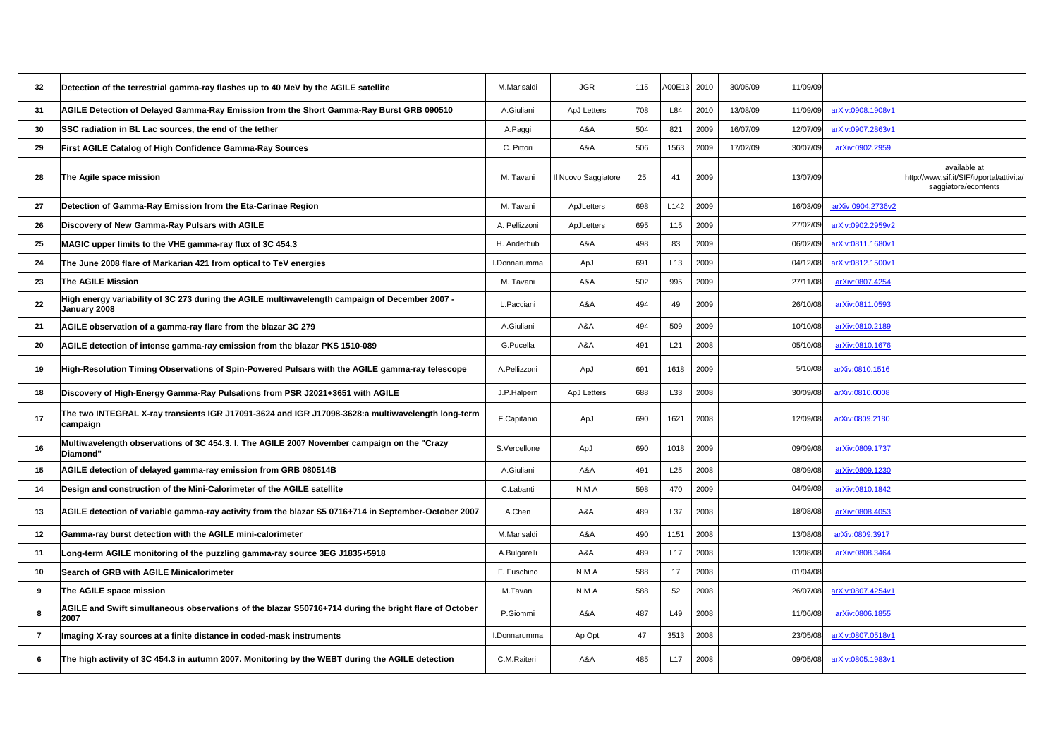| available at                                                      |  |
|-------------------------------------------------------------------|--|
| http://www.sif.it/SIF/it/portal/attivita/<br>saggiatore/econtents |  |
|                                                                   |  |
|                                                                   |  |
|                                                                   |  |
|                                                                   |  |
|                                                                   |  |
|                                                                   |  |
|                                                                   |  |
|                                                                   |  |
|                                                                   |  |
|                                                                   |  |
|                                                                   |  |
|                                                                   |  |
|                                                                   |  |
|                                                                   |  |
|                                                                   |  |
|                                                                   |  |
|                                                                   |  |
|                                                                   |  |
|                                                                   |  |
|                                                                   |  |
|                                                                   |  |
|                                                                   |  |
|                                                                   |  |
|                                                                   |  |
|                                                                   |  |
|                                                                   |  |
|                                                                   |  |
|                                                                   |  |
|                                                                   |  |

| 32        | Detection of the terrestrial gamma-ray flashes up to 40 MeV by the AGILE satellite                              | M.Marisaldi        | <b>JGR</b>          | 115 | A00E13 2010      |      | 30/05/09 | 11/09/09 |                            |                               |
|-----------|-----------------------------------------------------------------------------------------------------------------|--------------------|---------------------|-----|------------------|------|----------|----------|----------------------------|-------------------------------|
| 31        | AGILE Detection of Delayed Gamma-Ray Emission from the Short Gamma-Ray Burst GRB 090510                         | A.Giuliani         | <b>ApJ Letters</b>  | 708 | L84              | 2010 | 13/08/09 | 11/09/09 | arXiv:0908.1908v1          |                               |
| 30        | <b>SSC radiation in BL Lac sources, the end of the tether</b>                                                   | A.Paggi            | A&A                 | 504 | 821              | 2009 | 16/07/09 | 12/07/09 | arXiv:0907.2863v1          |                               |
| <b>29</b> | First AGILE Catalog of High Confidence Gamma-Ray Sources                                                        | C. Pittori         | A&A                 | 506 | 1563             | 2009 | 17/02/09 | 30/07/09 | arXiv:0902.2959            |                               |
| 28        | The Agile space mission                                                                                         | M. Tavani          | Il Nuovo Saggiatore | 25  | 41               | 2009 |          | 13/07/09 |                            | a<br>http://www.sif<br>saggia |
| <b>27</b> | Detection of Gamma-Ray Emission from the Eta-Carinae Region                                                     | M. Tavani          | ApJLetters          | 698 | L <sub>142</sub> | 2009 |          | 16/03/09 | arXiv:0904.2736v2          |                               |
| <b>26</b> | Discovery of New Gamma-Ray Pulsars with AGILE                                                                   | A. Pellizzoni      | <b>ApJLetters</b>   | 695 | 115              | 2009 |          |          | 27/02/09 arXiv:0902.2959v2 |                               |
| <b>25</b> | MAGIC upper limits to the VHE gamma-ray flux of 3C 454.3                                                        | H. Anderhub        | A&A                 | 498 | 83               | 2009 |          |          | 06/02/09 arXiv:0811.1680v1 |                               |
| 24        | The June 2008 flare of Markarian 421 from optical to TeV energies                                               | I.Donnarumma       | ApJ                 | 691 | L <sub>13</sub>  | 2009 |          |          | 04/12/08 arXiv:0812.1500v1 |                               |
| 23        | <b>The AGILE Mission</b>                                                                                        | M. Tavani          | A&A                 | 502 | 995              | 2009 |          | 27/11/08 | arXiv:0807.4254            |                               |
| 22        | High energy variability of 3C 273 during the AGILE multiwavelength campaign of December 2007 -<br>January 2008  | L.Pacciani         | A&A                 | 494 | 49               | 2009 |          | 26/10/08 | arXiv:0811.0593            |                               |
| 21        | AGILE observation of a gamma-ray flare from the blazar 3C 279                                                   | A.Giuliani         | A&A                 | 494 | 509              | 2009 |          | 10/10/08 | arXiv:0810.2189            |                               |
| <b>20</b> | AGILE detection of intense gamma-ray emission from the blazar PKS 1510-089                                      | G.Pucella          | A&A                 | 491 | L21              | 2008 |          | 05/10/08 | arXiv:0810.1676            |                               |
| 19        | High-Resolution Timing Observations of Spin-Powered Pulsars with the AGILE gamma-ray telescope                  | A.Pellizzoni       | ApJ                 | 691 | 1618             | 2009 |          | 5/10/08  | arXiv:0810.1516            |                               |
| <b>18</b> | Discovery of High-Energy Gamma-Ray Pulsations from PSR J2021+3651 with AGILE                                    | J.P.Halpern        | <b>ApJ Letters</b>  | 688 | L33              | 2008 |          | 30/09/08 | arXiv:0810.0008            |                               |
| 17        | The two INTEGRAL X-ray transients IGR J17091-3624 and IGR J17098-3628:a multiwavelength long-term<br>∣campaign  | F.Capitanio        | ApJ                 | 690 | 1621             | 2008 |          | 12/09/08 | arXiv:0809.2180            |                               |
| 16        | Multiwavelength observations of 3C 454.3. I. The AGILE 2007 November campaign on the "Crazy<br><b>Diamond"</b>  | S.Vercellone       | ApJ                 | 690 | 1018             | 2009 |          | 09/09/08 | arXiv:0809.1737            |                               |
| <b>15</b> | AGILE detection of delayed gamma-ray emission from GRB 080514B                                                  | A.Giuliani         | A&A                 | 491 | L25              | 2008 |          | 08/09/08 | arXiv:0809.1230            |                               |
| 14        | Design and construction of the Mini-Calorimeter of the AGILE satellite                                          | C.Labanti          | <b>NIMA</b>         | 598 | 470              | 2009 |          | 04/09/08 | arXiv:0810.1842            |                               |
| 13        | AGILE detection of variable gamma-ray activity from the blazar S5 0716+714 in September-October 2007            | A.Chen             | A&A                 | 489 | L37              | 2008 |          | 18/08/08 | <u>arXiv:0808.4053</u>     |                               |
| $12$      | Gamma-ray burst detection with the AGILE mini-calorimeter                                                       | M.Marisaldi        | A&A                 | 490 | 1151             | 2008 |          | 13/08/08 | arXiv:0809.3917            |                               |
| $11$      | Long-term AGILE monitoring of the puzzling gamma-ray source 3EG J1835+5918                                      | A.Bulgarelli       | A&A                 | 489 | L17              | 2008 |          | 13/08/08 | arXiv:0808.3464            |                               |
| 10        | <b>Search of GRB with AGILE Minicalorimeter</b>                                                                 | F. Fuschino        | <b>NIMA</b>         | 588 | 17               | 2008 |          | 01/04/08 |                            |                               |
|           | The AGILE space mission                                                                                         | M.Tavani           | <b>NIMA</b>         | 588 | 52               | 2008 |          | 26/07/08 | <u>arXiv:0807.4254v1</u>   |                               |
|           | AGILE and Swift simultaneous observations of the blazar S50716+714 during the bright flare of October <br> 2007 | P.Giommi           | A&A                 | 487 | L49              | 2008 |          | 11/06/08 | arXiv:0806.1855            |                               |
|           | Imaging X-ray sources at a finite distance in coded-mask instruments                                            | I.Donnarumma       | Ap Opt              | 47  | 3513             | 2008 |          | 23/05/08 | <u>arXiv:0807.0518v1</u>   |                               |
|           | The high activity of 3C 454.3 in autumn 2007. Monitoring by the WEBT during the AGILE detection                 | <b>C.M.Raiteri</b> | A&A                 | 485 | L17              | 2008 |          | 09/05/08 | <u>arXiv:0805.1983v1</u>   |                               |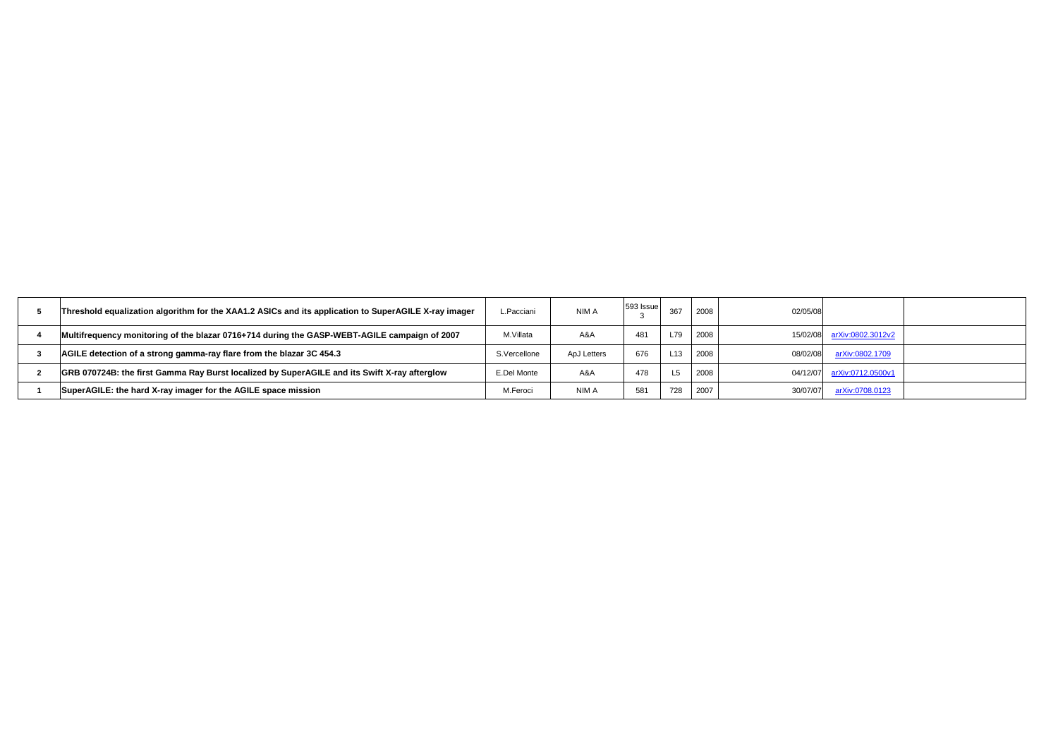| Threshold equalization algorithm for the XAA1.2 ASICs and its application to SuperAGILE X-ray imager | L.Pacciani         | <b>NIMA</b>        | $ 593 $ Issue | 367 | 2008 | 02/05/08 |                          |
|------------------------------------------------------------------------------------------------------|--------------------|--------------------|---------------|-----|------|----------|--------------------------|
| Multifrequency monitoring of the blazar 0716+714 during the GASP-WEBT-AGILE campaign of 2007         | M.Villata          | A&A                | 481           |     | 2008 | 15/02/08 | <u>arXiv:0802.3012v2</u> |
| AGILE detection of a strong gamma-ray flare from the blazar 3C 454.3                                 | S.Vercellone       | <b>ApJ Letters</b> | 676           | L13 | 2008 | 08/02/08 | arXiv:0802.1709          |
| GRB 070724B: the first Gamma Ray Burst localized by SuperAGILE and its Swift X-ray afterglow         | <b>E.Del Monte</b> | A&A                | 478           |     | 2008 | 04/12/07 | arXiv:0712.0500v1        |
| SuperAGILE: the hard X-ray imager for the AGILE space mission                                        | M.Feroci           | <b>NIMA</b>        | 581           | 728 | 2007 | 30/07/07 | arXiv:0708.0123          |
|                                                                                                      |                    |                    |               |     |      |          |                          |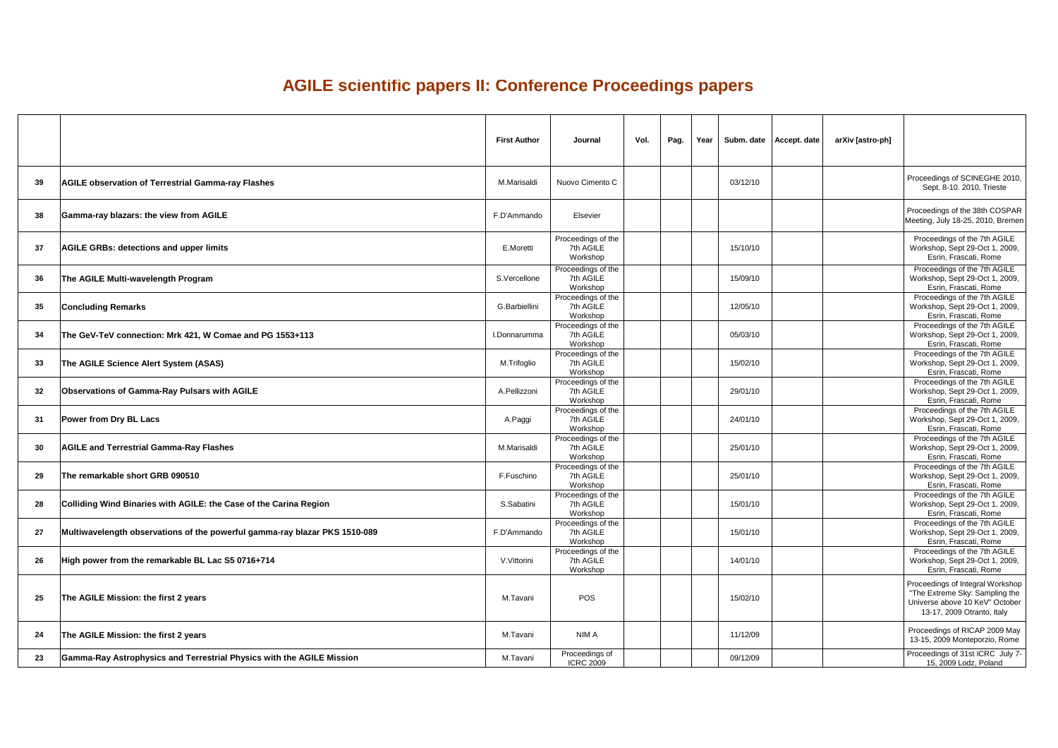## **AGILE scientific papers II: Conference Proceedings papers**

|    |                                                                            | <b>First Author</b>  | <b>Journal</b>                                                    | Vol.<br>Pag. | Year     | Subm. date   Accept. date  <br>arXiv [astro-ph] |                                                                                                                                    |
|----|----------------------------------------------------------------------------|----------------------|-------------------------------------------------------------------|--------------|----------|-------------------------------------------------|------------------------------------------------------------------------------------------------------------------------------------|
| 39 | <b>AGILE observation of Terrestrial Gamma-ray Flashes</b>                  | M.Marisaldi          | Nuovo Cimento C                                                   |              | 03/12/10 |                                                 | Proceedings of SCINEGHE 2010,<br>Sept. 8-10. 2010, Trieste                                                                         |
| 38 | Gamma-ray blazars: the view from AGILE                                     | F.D'Ammando          | <b>Elsevier</b>                                                   |              |          |                                                 | Proceedings of the 38th COSPAR<br>Meeting, July 18-25, 2010, Bremen                                                                |
| 37 | <b>AGILE GRBs: detections and upper limits</b>                             | E.Moretti            | Proceedings of the<br>7th AGILE<br>Workshop                       |              | 15/10/10 |                                                 | Proceedings of the 7th AGILE<br>Workshop, Sept 29-Oct 1, 2009,<br>Esrin, Frascati, Rome                                            |
| 36 | The AGILE Multi-wavelength Program                                         | S.Vercellone         | Proceedings of the<br>7th AGILE<br>Workshop                       |              | 15/09/10 |                                                 | Proceedings of the 7th AGILE<br>Workshop, Sept 29-Oct 1, 2009,<br>Esrin, Frascati, Rome                                            |
| 35 | <b>Concluding Remarks</b>                                                  | <b>G.Barbiellini</b> | Proceedings of the<br>7th AGILE<br>Workshop                       |              | 12/05/10 |                                                 | Proceedings of the 7th AGILE<br>Workshop, Sept 29-Oct 1, 2009,<br>Esrin, Frascati, Rome                                            |
| 34 | The GeV-TeV connection: Mrk 421, W Comae and PG 1553+113                   | I.Donnarumma         | Proceedings of the<br>7th AGILE<br>Workshop                       |              | 05/03/10 |                                                 | Proceedings of the 7th AGILE<br>Workshop, Sept 29-Oct 1, 2009,<br>Esrin, Frascati, Rome                                            |
| 33 | <b>The AGILE Science Alert System (ASAS)</b>                               | M.Trifoglio          | Proceedings of the<br>7th AGILE<br>Workshop                       |              | 15/02/10 |                                                 | Proceedings of the 7th AGILE<br>Workshop, Sept 29-Oct 1, 2009,<br>Esrin, Frascati, Rome<br>Proceedings of the 7th AGILE            |
| 32 | Observations of Gamma-Ray Pulsars with AGILE                               | A.Pellizzoni         | Proceedings of the<br>7th AGILE<br>Workshop<br>Proceedings of the |              | 29/01/10 |                                                 | Workshop, Sept 29-Oct 1, 2009,<br>Esrin, Frascati, Rome<br>Proceedings of the 7th AGILE                                            |
| 31 | <b>Power from Dry BL Lacs</b>                                              | A Paggi              | 7th AGILE<br>Workshop<br>Proceedings of the                       |              | 24/01/10 |                                                 | Workshop, Sept 29-Oct 1, 2009,<br>Esrin, Frascati, Rome<br>Proceedings of the 7th AGILE                                            |
| 30 | <b>AGILE and Terrestrial Gamma-Ray Flashes</b>                             | M.Marisaldi          | 7th AGILE<br>Workshop<br>Proceedings of the                       |              | 25/01/10 |                                                 | Workshop, Sept 29-Oct 1, 2009,<br>Esrin, Frascati, Rome<br>Proceedings of the 7th AGILE                                            |
| 29 | The remarkable short GRB 090510                                            | F.Fuschino           | 7th AGILE<br>Workshop<br>Proceedings of the                       |              | 25/01/10 |                                                 | Workshop, Sept 29-Oct 1, 2009,<br>Esrin, Frascati, Rome<br>Proceedings of the 7th AGILE                                            |
| 28 | Colliding Wind Binaries with AGILE: the Case of the Carina Region          | S.Sabatini           | 7th AGILE<br>Workshop<br>Proceedings of the                       |              | 15/01/10 |                                                 | Workshop, Sept 29-Oct 1, 2009,<br>Esrin, Frascati, Rome<br>Proceedings of the 7th AGILE                                            |
| 27 | Multiwavelength observations of the powerful gamma-ray blazar PKS 1510-089 | F.D'Ammando          | 7th AGILE<br>Workshop<br>Proceedings of the                       |              | 15/01/10 |                                                 | Workshop, Sept 29-Oct 1, 2009,<br>Esrin, Frascati, Rome<br>Proceedings of the 7th AGILE                                            |
| 26 | High power from the remarkable BL Lac S5 0716+714                          | V. Vittorini         | 7th AGILE<br>Workshop                                             |              | 14/01/10 |                                                 | Workshop, Sept 29-Oct 1, 2009,<br>Esrin, Frascati, Rome                                                                            |
| 25 | The AGILE Mission: the first 2 years                                       | M.Tavani             | <b>POS</b>                                                        |              | 15/02/10 |                                                 | Proceedings of Integral Workshop<br>"The Extreme Sky: Sampling the<br>Universe above 10 KeV" October<br>13-17, 2009 Otranto, Italy |
| 24 | The AGILE Mission: the first 2 years                                       | M.Tavani             | NIM A                                                             |              | 11/12/09 |                                                 | Proceedings of RICAP 2009 May<br>13-15, 2009 Monteporzio, Rome                                                                     |
| 23 | Gamma-Ray Astrophysics and Terrestrial Physics with the AGILE Mission      | M.Tavani             | Proceedings of<br><b>ICRC 2009</b>                                |              | 09/12/09 |                                                 | Proceedings of 31st ICRC July 7-<br>15, 2009 Lodz, Poland                                                                          |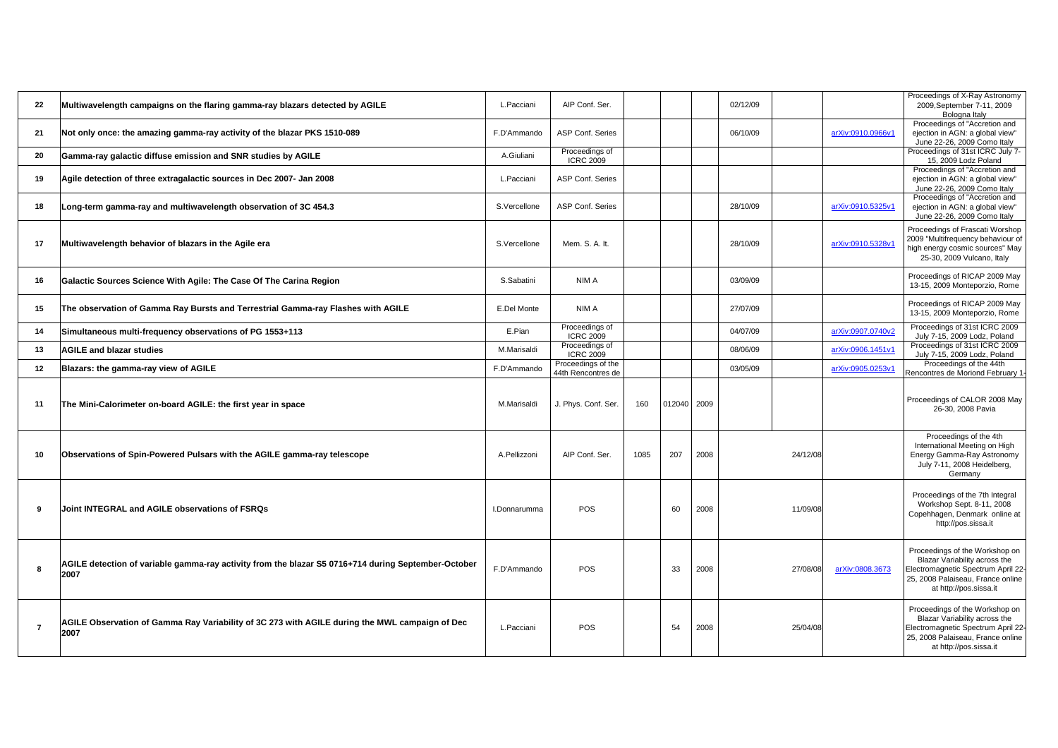**process** of the Workshop on 'ariability across the netic Spectrum April 22alaiseau, France online tp://pos.sissa.it

gs of the Workshop on 'ariability across the netic Spectrum April 22alaiseau, France online ttp://pos.sissa.it

|                |                                                                                                              |                    |                                          |                     |          |          |                          | Proceedings of X-Ray Astronomy                                                                                                                                                    |
|----------------|--------------------------------------------------------------------------------------------------------------|--------------------|------------------------------------------|---------------------|----------|----------|--------------------------|-----------------------------------------------------------------------------------------------------------------------------------------------------------------------------------|
| 22             | Multiwavelength campaigns on the flaring gamma-ray blazars detected by AGILE                                 | L.Pacciani         | AIP Conf. Ser.                           |                     | 02/12/09 |          |                          | 2009, September 7-11, 2009<br>Bologna Italy                                                                                                                                       |
| 2 <sub>1</sub> | Not only once: the amazing gamma-ray activity of the blazar PKS 1510-089                                     | F.D'Ammando        | <b>ASP Conf. Series</b>                  |                     | 06/10/09 |          | arXiv:0910.0966v1        | Proceedings of "Accretion and<br>ejection in AGN: a global view"<br>June 22-26, 2009 Como Italy                                                                                   |
| <b>20</b>      | Gamma-ray galactic diffuse emission and SNR studies by AGILE                                                 | A.Giuliani         | Proceedings of<br><b>ICRC 2009</b>       |                     |          |          |                          | Proceedings of 31st ICRC July 7-<br>15, 2009 Lodz Poland                                                                                                                          |
| 19             | Agile detection of three extragalactic sources in Dec 2007- Jan 2008                                         | L.Pacciani         | <b>ASP Conf. Series</b>                  |                     |          |          |                          | Proceedings of "Accretion and<br>ejection in AGN: a global view"<br>June 22-26, 2009 Como Italy                                                                                   |
| 18             | Long-term gamma-ray and multiwavelength observation of 3C 454.3                                              | S.Vercellone       | <b>ASP Conf. Series</b>                  |                     | 28/10/09 |          | <u>arXiv:0910.5325v1</u> | Proceedings of "Accretion and<br>ejection in AGN: a global view"<br>June 22-26, 2009 Como Italy                                                                                   |
|                | Multiwavelength behavior of blazars in the Agile era                                                         | S.Vercellone       | Mem. S. A. It.                           |                     | 28/10/09 |          | arXiv:0910.5328v1        | <b>Proceedings of Frascati Worshop</b><br>2009 "Multifrequency behaviour of<br>high energy cosmic sources" May<br>25-30, 2009 Vulcano, Italy                                      |
| 16             | <b>Galactic Sources Science With Agile: The Case Of The Carina Region</b>                                    | S.Sabatini         | <b>NIMA</b>                              |                     | 03/09/09 |          |                          | Proceedings of RICAP 2009 May<br>13-15, 2009 Monteporzio, Rome                                                                                                                    |
| 15             | The observation of Gamma Ray Bursts and Terrestrial Gamma-ray Flashes with AGILE                             | <b>E.Del Monte</b> | <b>NIMA</b>                              |                     | 27/07/09 |          |                          | Proceedings of RICAP 2009 May<br>13-15, 2009 Monteporzio, Rome                                                                                                                    |
| 14             | Simultaneous multi-frequency observations of PG 1553+113                                                     | E.Pian             | Proceedings of<br><b>ICRC 2009</b>       |                     | 04/07/09 |          | arXiv:0907.0740v2        | Proceedings of 31st ICRC 2009<br>July 7-15, 2009 Lodz, Poland                                                                                                                     |
|                | <b>AGILE and blazar studies</b>                                                                              | <b>M.Marisaldi</b> | Proceedings of<br><b>ICRC 2009</b>       |                     | 08/06/09 |          | arXiv:0906.1451v1        | Proceedings of 31st ICRC 2009<br>July 7-15, 2009 Lodz, Poland                                                                                                                     |
| 12             | <b>Blazars: the gamma-ray view of AGILE</b>                                                                  | F.D'Ammando        | Proceedings of the<br>44th Rencontres de |                     | 03/05/09 |          | arXiv:0905.0253v1        | Proceedings of the 44th<br>Rencontres de Moriond February 1                                                                                                                       |
|                | The Mini-Calorimeter on-board AGILE: the first year in space                                                 | M.Marisaldi        | J. Phys. Conf. Ser.                      | 160   012040   2009 |          |          |                          | Proceedings of CALOR 2008 May<br>26-30, 2008 Pavia                                                                                                                                |
| 10             | Observations of Spin-Powered Pulsars with the AGILE gamma-ray telescope                                      | A.Pellizzoni       | AIP Conf. Ser.                           | 207<br>1085<br>2008 |          | 24/12/08 |                          | Proceedings of the 4th<br>International Meeting on High<br><b>Energy Gamma-Ray Astronomy</b><br>July 7-11, 2008 Heidelberg,<br>Germany                                            |
|                | Joint INTEGRAL and AGILE observations of FSRQs                                                               | I.Donnarumma       | <b>POS</b>                               | 2008<br>60          |          | 11/09/08 |                          | Proceedings of the 7th Integral<br>Workshop Sept. 8-11, 2008<br>Copehhagen, Denmark online at<br>http://pos.sissa.it                                                              |
|                | AGILE detection of variable gamma-ray activity from the blazar S5 0716+714 during September-October<br> 2007 | F.D'Ammando        | <b>POS</b>                               | 2008<br>33          |          | 27/08/08 | arXiv:0808.3673          | Proceedings of the Workshop on<br><b>Blazar Variability across the</b><br>Electromagnetic Spectrum April 22<br>25, 2008 Palaiseau, France online<br>at http://pos.sissa.it        |
|                | AGILE Observation of Gamma Ray Variability of 3C 273 with AGILE during the MWL campaign of Dec<br>2007       | L.Pacciani         | <b>POS</b>                               | 2008<br>54          |          | 25/04/08 |                          | Proceedings of the Workshop on<br><b>Blazar Variability across the</b><br><b>Electromagnetic Spectrum April 22</b><br>25, 2008 Palaiseau, France online<br>at http://pos.sissa.it |